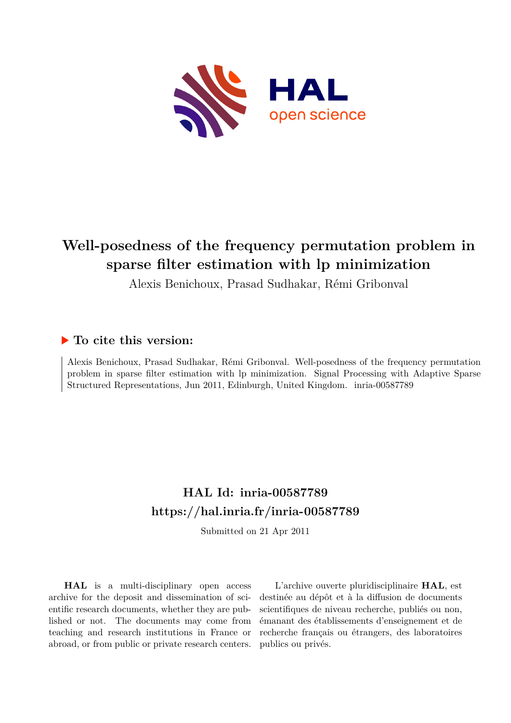

## **Well-posedness of the frequency permutation problem in sparse filter estimation with lp minimization**

Alexis Benichoux, Prasad Sudhakar, Rémi Gribonval

### **To cite this version:**

Alexis Benichoux, Prasad Sudhakar, Rémi Gribonval. Well-posedness of the frequency permutation problem in sparse filter estimation with lp minimization. Signal Processing with Adaptive Sparse Structured Representations, Jun 2011, Edinburgh, United Kingdom. inria-00587789

### **HAL Id: inria-00587789 <https://hal.inria.fr/inria-00587789>**

Submitted on 21 Apr 2011

**HAL** is a multi-disciplinary open access archive for the deposit and dissemination of scientific research documents, whether they are published or not. The documents may come from teaching and research institutions in France or abroad, or from public or private research centers.

L'archive ouverte pluridisciplinaire **HAL**, est destinée au dépôt et à la diffusion de documents scientifiques de niveau recherche, publiés ou non, émanant des établissements d'enseignement et de recherche français ou étrangers, des laboratoires publics ou privés.